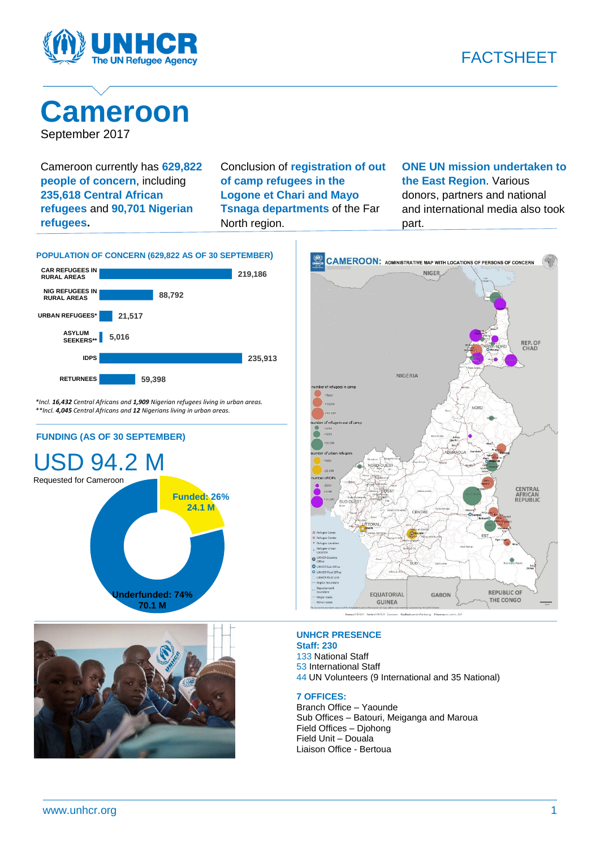

## **Cameroon** September 2017

Cameroon currently has **629,822 people of concern**, including **235,618 Central African refugees** and **90,701 Nigerian refugees.**

Conclusion of **registration of out of camp refugees in the Logone et Chari and Mayo Tsnaga departments** of the Far North region.

**ONE UN mission undertaken to the East Region**. Various donors, partners and national and international media also took part.



*\*Incl. 16,432 Central Africans and 1,909 Nigerian refugees living in urban areas. \*\*Incl. 4,045 Central Africans and 12 Nigerians living in urban areas.*

**FUNDING (AS OF 30 SEPTEMBER)**







### **UNHCR PRESENCE**

**Staff: 230** National Staff International Staff UN Volunteers (9 International and 35 National)

### **7 OFFICES:**

Branch Office – Yaounde Sub Offices – Batouri, Meiganga and Maroua Field Offices – Djohong Field Unit – Douala Liaison Office - Bertoua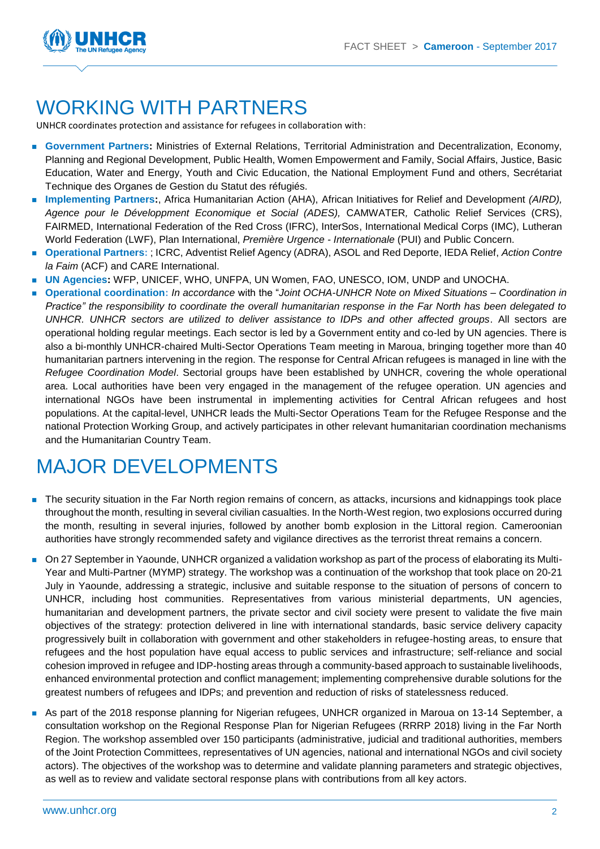

### WORKING WITH PARTNERS

UNHCR coordinates protection and assistance for refugees in collaboration with:

- **Government Partners:** Ministries of External Relations, Territorial Administration and Decentralization, Economy, Planning and Regional Development, Public Health, Women Empowerment and Family, Social Affairs, Justice, Basic Education, Water and Energy, Youth and Civic Education, the National Employment Fund and others, Secrétariat Technique des Organes de Gestion du Statut des réfugiés.
- **Implementing Partners:**, Africa Humanitarian Action (AHA), African Initiatives for Relief and Development *(AIRD), Agence pour le Développment Economique et Social (ADES),* CAMWATER*,* Catholic Relief Services (CRS), FAIRMED, International Federation of the Red Cross (IFRC), InterSos, International Medical Corps (IMC), Lutheran World Federation (LWF), Plan International, *Première Urgence - Internationale* (PUI) and Public Concern.
- **Operational Partners:** ; ICRC, Adventist Relief Agency (ADRA), ASOL and Red Deporte, IEDA Relief, *Action Contre la Faim* (ACF) and CARE International.
- **UN Agencies:** WFP, UNICEF, WHO, UNFPA, UN Women, FAO, UNESCO, IOM, UNDP and UNOCHA.
- **Operational coordination:** *In accordance* with the "*Joint OCHA-UNHCR Note on Mixed Situations – Coordination in Practice" the responsibility to coordinate the overall humanitarian response in the Far North has been delegated to UNHCR. UNHCR sectors are utilized to deliver assistance to IDPs and other affected groups*. All sectors are operational holding regular meetings. Each sector is led by a Government entity and co-led by UN agencies. There is also a bi-monthly UNHCR-chaired Multi-Sector Operations Team meeting in Maroua, bringing together more than 40 humanitarian partners intervening in the region. The response for Central African refugees is managed in line with the *Refugee Coordination Model*. Sectorial groups have been established by UNHCR, covering the whole operational area. Local authorities have been very engaged in the management of the refugee operation. UN agencies and international NGOs have been instrumental in implementing activities for Central African refugees and host populations. At the capital-level, UNHCR leads the Multi-Sector Operations Team for the Refugee Response and the national Protection Working Group, and actively participates in other relevant humanitarian coordination mechanisms and the Humanitarian Country Team.

# MAJOR DEVELOPMENTS

- The security situation in the Far North region remains of concern, as attacks, incursions and kidnappings took place throughout the month, resulting in several civilian casualties. In the North-West region, two explosions occurred during the month, resulting in several injuries, followed by another bomb explosion in the Littoral region. Cameroonian authorities have strongly recommended safety and vigilance directives as the terrorist threat remains a concern.
- On 27 September in Yaounde, UNHCR organized a validation workshop as part of the process of elaborating its Multi-Year and Multi-Partner (MYMP) strategy. The workshop was a continuation of the workshop that took place on 20-21 July in Yaounde, addressing a strategic, inclusive and suitable response to the situation of persons of concern to UNHCR, including host communities. Representatives from various ministerial departments, UN agencies, humanitarian and development partners, the private sector and civil society were present to validate the five main objectives of the strategy: protection delivered in line with international standards, basic service delivery capacity progressively built in collaboration with government and other stakeholders in refugee-hosting areas, to ensure that refugees and the host population have equal access to public services and infrastructure; self-reliance and social cohesion improved in refugee and IDP-hosting areas through a community-based approach to sustainable livelihoods, enhanced environmental protection and conflict management; implementing comprehensive durable solutions for the greatest numbers of refugees and IDPs; and prevention and reduction of risks of statelessness reduced.
- As part of the 2018 response planning for Nigerian refugees, UNHCR organized in Maroua on 13-14 September, a consultation workshop on the Regional Response Plan for Nigerian Refugees (RRRP 2018) living in the Far North Region. The workshop assembled over 150 participants (administrative, judicial and traditional authorities, members of the Joint Protection Committees, representatives of UN agencies, national and international NGOs and civil society actors). The objectives of the workshop was to determine and validate planning parameters and strategic objectives, as well as to review and validate sectoral response plans with contributions from all key actors.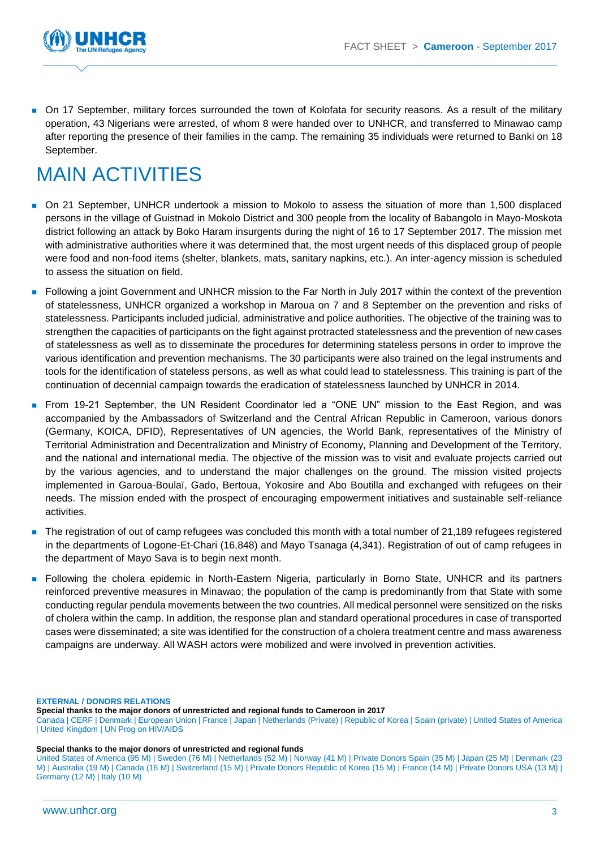

 On 17 September, military forces surrounded the town of Kolofata for security reasons. As a result of the military operation, 43 Nigerians were arrested, of whom 8 were handed over to UNHCR, and transferred to Minawao camp after reporting the presence of their families in the camp. The remaining 35 individuals were returned to Banki on 18 September.

## MAIN ACTIVITIES

- On 21 September, UNHCR undertook a mission to Mokolo to assess the situation of more than 1,500 displaced persons in the village of Guistnad in Mokolo District and 300 people from the locality of Babangolo in Mayo-Moskota district following an attack by Boko Haram insurgents during the night of 16 to 17 September 2017. The mission met with administrative authorities where it was determined that, the most urgent needs of this displaced group of people were food and non-food items (shelter, blankets, mats, sanitary napkins, etc.). An inter-agency mission is scheduled to assess the situation on field.
- Following a joint Government and UNHCR mission to the Far North in July 2017 within the context of the prevention of statelessness, UNHCR organized a workshop in Maroua on 7 and 8 September on the prevention and risks of statelessness. Participants included judicial, administrative and police authorities. The objective of the training was to strengthen the capacities of participants on the fight against protracted statelessness and the prevention of new cases of statelessness as well as to disseminate the procedures for determining stateless persons in order to improve the various identification and prevention mechanisms. The 30 participants were also trained on the legal instruments and tools for the identification of stateless persons, as well as what could lead to statelessness. This training is part of the continuation of decennial campaign towards the eradication of statelessness launched by UNHCR in 2014.
- From 19-21 September, the UN Resident Coordinator led a "ONE UN" mission to the East Region, and was accompanied by the Ambassadors of Switzerland and the Central African Republic in Cameroon, various donors (Germany, KOICA, DFID), Representatives of UN agencies, the World Bank, representatives of the Ministry of Territorial Administration and Decentralization and Ministry of Economy, Planning and Development of the Territory, and the national and international media. The objective of the mission was to visit and evaluate projects carried out by the various agencies, and to understand the major challenges on the ground. The mission visited projects implemented in Garoua-Boulaï, Gado, Bertoua, Yokosire and Abo Boutilla and exchanged with refugees on their needs. The mission ended with the prospect of encouraging empowerment initiatives and sustainable self-reliance activities.
- The registration of out of camp refugees was concluded this month with a total number of 21,189 refugees registered in the departments of Logone-Et-Chari (16,848) and Mayo Tsanaga (4,341). Registration of out of camp refugees in the department of Mayo Sava is to begin next month.
- Following the cholera epidemic in North-Eastern Nigeria, particularly in Borno State, UNHCR and its partners reinforced preventive measures in Minawao; the population of the camp is predominantly from that State with some conducting regular pendula movements between the two countries. All medical personnel were sensitized on the risks of cholera within the camp. In addition, the response plan and standard operational procedures in case of transported cases were disseminated; a site was identified for the construction of a cholera treatment centre and mass awareness campaigns are underway. All WASH actors were mobilized and were involved in prevention activities.

### **EXTERNAL / DONORS RELATIONS**

**Special thanks to the major donors of unrestricted and regional funds to Cameroon in 2017** 

Canada | CERF | Denmark | European Union | France | Japan | Netherlands (Private) | Republic of Korea | Spain (private) | United States of America | United Kingdom | UN Prog on HIV/AIDS

#### **Special thanks to the major donors of unrestricted and regional funds**

United States of America (95 M) | Sweden (76 M) | Netherlands (52 M) | Norway (41 M) | Private Donors Spain (35 M) | Japan (25 M) | Denmark (23 M) | Australia (19 M) | Canada (16 M) | Switzerland (15 M) | Private Donors Republic of Korea (15 M) | France (14 M) | Private Donors USA (13 M) | Germany (12 M) | Italy (10 M)